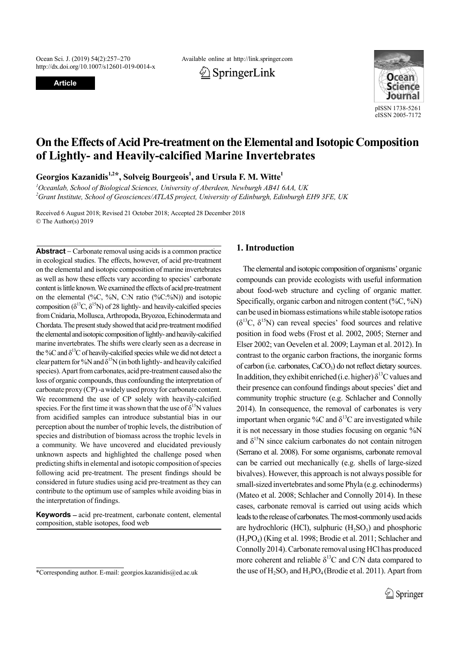http://dx.doi.org/10.1007/s12601-019-0014-x

**Article**

Ocean Sci. J. (2019) 54(2):257270 Available online at http://link.springer.com





# **On the Effects of Acid Pre-treatment on the Elemental and Isotopic Composition of Lightly- and Heavily-calcified Marine Invertebrates**

Georgios Kazanidis<sup>1,2\*</sup>, Solveig Bourgeois<sup>1</sup>, and Ursula F. M. Witte<sup>1</sup>

*1 Oceanlab, School of Biological Sciences, University of Aberdeen, Newburgh AB41 6AA, UK 2 Grant Institute, School of Geosciences/ATLAS project, University of Edinburgh, Edinburgh EH9 3FE, UK*

Received 6 August 2018; Revised 21 October 2018; Accepted 28 December 2018 © The Author(s) 2019

**Abstract** – Carbonate removal using acids is a common practice in ecological studies. The effects, however, of acid pre-treatment on the elemental and isotopic composition of marine invertebrates as well as how these effects vary according to species' carbonate content is little known. We examined the effects of acid pre-treatment on the elemental  $(\%C, \%N, C; N \text{ ratio } (\%C; \%N))$  and isotopic composition ( $\delta^{13}C$ ,  $\delta^{15}N$ ) of 28 lightly- and heavily-calcified species from Cnidaria, Mollusca, Arthropoda, Bryozoa, Echinodermata and Chordata. The present study showed that acid pre-treatment modified the elemental and isotopic composition of lightly- and heavily-calcified marine invertebrates. The shifts were clearly seen as a decrease in the %C and  $\delta^{13}$ C of heavily-calcified species while we did not detect a clear pattern for %N and  $\delta^{15}N$  (in both lightly- and heavily calcified species). Apart from carbonates, acid pre-treatment caused also the loss of organic compounds, thus confounding the interpretation of carbonate proxy (CP) -a widely used proxy for carbonate content. We recommend the use of CP solely with heavily-calcified species. For the first time it was shown that the use of  $\delta^{15}N$  values from acidified samples can introduce substantial bias in our perception about the number of trophic levels, the distribution of species and distribution of biomass across the trophic levels in a community. We have uncovered and elucidated previously unknown aspects and highlighted the challenge posed when predicting shifts in elemental and isotopic composition of species following acid pre-treatment. The present findings should be considered in future studies using acid pre-treatment as they can contribute to the optimum use of samples while avoiding bias in the interpretation of findings.

**Keywords** – acid pre-treatment, carbonate content, elemental composition, stable isotopes, food web

# **1. Introduction**

The elemental and isotopic composition of organisms' organic compounds can provide ecologists with useful information about food-web structure and cycling of organic matter. Specifically, organic carbon and nitrogen content (%C, %N) can be used in biomass estimations while stable isotope ratios  $(\delta^{13}C, \delta^{15}N)$  can reveal species' food sources and relative position in food webs (Frost et al. 2002, 2005; Sterner and Elser 2002; van Oevelen et al. 2009; Layman et al. 2012). In contrast to the organic carbon fractions, the inorganic forms of carbon (i.e. carbonates,  $CaCO<sub>3</sub>$ ) do not reflect dietary sources. In addition, they exhibit enriched (i.e. higher)  $\delta^{13}$ C values and their presence can confound findings about species' diet and community trophic structure (e.g. Schlacher and Connolly 2014). In consequence, the removal of carbonates is very important when organic %C and  $\delta^{13}$ C are investigated while it is not necessary in those studies focusing on organic %N and  $\delta^{15}$ N since calcium carbonates do not contain nitrogen (Serrano et al. 2008). For some organisms, carbonate removal can be carried out mechanically (e.g. shells of large-sized bivalves). However, this approach is not always possible for small-sized invertebrates and some Phyla (e.g. echinoderms) (Mateo et al. 2008; Schlacher and Connolly 2014). In these cases, carbonate removal is carried out using acids which leads to the release of carbonates. The most-commonly used acids are hydrochloric (HCl), sulphuric  $(H_2SO_3)$  and phosphoric (H3PO4) (King et al. 1998; Brodie et al. 2011; Schlacher and Connolly 2014). Carbonate removal using HCl has produced more coherent and reliable  $\delta^{13}$ C and C/N data compared to \*Corresponding author. E-mail: georgios.kazanidis@ed.ac.uk the use of  $H_2SO_3$  and  $H_3PO_4$  (Brodie et al. 2011). Apart from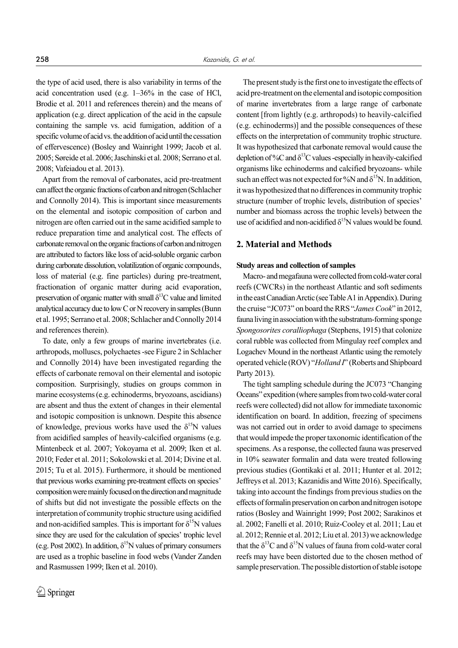the type of acid used, there is also variability in terms of the acid concentration used (e.g. 1–36% in the case of HCl, Brodie et al. 2011 and references therein) and the means of application (e.g. direct application of the acid in the capsule containing the sample vs. acid fumigation, addition of a specific volume of acid vs. the addition of acid until the cessation of effervescence) (Bosley and Wainright 1999; Jacob et al. 2005; Søreide et al. 2006; Jaschinski et al. 2008; Serrano et al. 2008; Vafeiadou et al. 2013).

Apart from the removal of carbonates, acid pre-treatment can affect the organic fractions of carbon and nitrogen (Schlacher and Connolly 2014). This is important since measurements on the elemental and isotopic composition of carbon and nitrogen are often carried out in the same acidified sample to reduce preparation time and analytical cost. The effects of carbonate removal on the organic fractions of carbon and nitrogen are attributed to factors like loss of acid-soluble organic carbon during carbonate dissolution, volatilization of organic compounds, loss of material (e.g. fine particles) during pre-treatment, fractionation of organic matter during acid evaporation, preservation of organic matter with small  $\delta^{13}$ C value and limited analytical accuracy due to low C or N recovery in samples (Bunn et al. 1995; Serrano et al. 2008; Schlacher and Connolly 2014 and references therein).

To date, only a few groups of marine invertebrates (i.e. arthropods, molluscs, polychaetes -see Figure 2 in Schlacher and Connolly 2014) have been investigated regarding the effects of carbonate removal on their elemental and isotopic composition. Surprisingly, studies on groups common in marine ecosystems (e.g. echinoderms, bryozoans, ascidians) are absent and thus the extent of changes in their elemental and isotopic composition is unknown. Despite this absence of knowledge, previous works have used the  $\delta^{15}N$  values from acidified samples of heavily-calcified organisms (e.g. Mintenbeck et al. 2007; Yokoyama et al. 2009; Iken et al. 2010; Feder et al. 2011; Sokolowski et al. 2014; Divine et al. 2015; Tu et al. 2015). Furthermore, it should be mentioned that previous works examining pre-treatment effects on species' composition were mainly focused on the direction and magnitude of shifts but did not investigate the possible effects on the interpretation of community trophic structure using acidified and non-acidified samples. This is important for  $\delta^{15}N$  values since they are used for the calculation of species' trophic level (e.g. Post 2002). In addition,  $\delta^{15}N$  values of primary consumers are used as a trophic baseline in food webs (Vander Zanden and Rasmussen 1999; Iken et al. 2010).

The present study is the first one to investigate the effects of acid pre-treatment on the elemental and isotopic composition of marine invertebrates from a large range of carbonate content [from lightly (e.g. arthropods) to heavily-calcified (e.g. echinoderms)] and the possible consequences of these effects on the interpretation of community trophic structure. It was hypothesized that carbonate removal would cause the depletion of %C and  $\delta^{13}$ C values -especially in heavily-calcified organisms like echinoderms and calcified bryozoans- while such an effect was not expected for %N and  $\delta^{15}N$ . In addition, it was hypothesized that no differences in community trophic structure (number of trophic levels, distribution of species' number and biomass across the trophic levels) between the use of acidified and non-acidified  $\delta^{15}N$  values would be found.

# **2. Material and Methods**

### **Study areas and collection of samples**

Macro- and megafauna were collected from cold-water coral reefs (CWCRs) in the northeast Atlantic and soft sediments in the east Canadian Arctic (see Table A1 in Appendix). During the cruise "JC073" on board the RRS "*James Cook*" in 2012, fauna living in association with the substratum-forming sponge *Spongosorites coralliophaga* (Stephens, 1915) that colonize coral rubble was collected from Mingulay reef complex and Logachev Mound in the northeast Atlantic using the remotely operated vehicle (ROV) "*Holland I*" (Roberts and Shipboard Party 2013).

The tight sampling schedule during the JC073 "Changing Oceans" expedition (where samples from two cold-water coral reefs were collected) did not allow for immediate taxonomic identification on board. In addition, freezing of specimens was not carried out in order to avoid damage to specimens that would impede the proper taxonomic identification of the specimens. As a response, the collected fauna was preserved in 10% seawater formalin and data were treated following previous studies (Gontikaki et al. 2011; Hunter et al. 2012; Jeffreys et al. 2013; Kazanidis and Witte 2016). Specifically, taking into account the findings from previous studies on the effects of formalin preservation on carbon and nitrogen isotope ratios (Bosley and Wainright 1999; Post 2002; Sarakinos et al. 2002; Fanelli et al. 2010; Ruiz-Cooley et al. 2011; Lau et al. 2012; Rennie et al. 2012; Liu et al. 2013) we acknowledge that the  $\delta^{13}C$  and  $\delta^{15}N$  values of fauna from cold-water coral reefs may have been distorted due to the chosen method of sample preservation. The possible distortion of stable isotope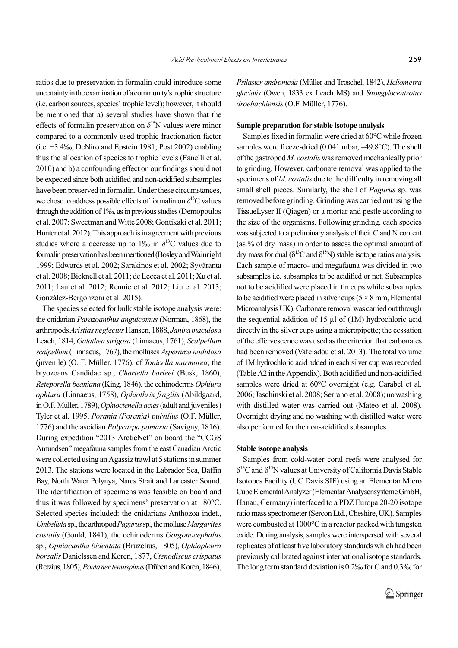ratios due to preservation in formalin could introduce some uncertainty in the examination of a community's trophic structure (i.e. carbon sources, species' trophic level); however, it should be mentioned that a) several studies have shown that the effects of formalin preservation on  $\delta^{15}$ N values were minor compared to a commonly-used trophic fractionation factor (i.e. +3.4‰, DeNiro and Epstein 1981; Post 2002) enabling thus the allocation of species to trophic levels (Fanelli et al. 2010) and b) a confounding effect on our findings should not be expected since both acidified and non-acidified subsamples have been preserved in formalin. Under these circumstances, we chose to address possible effects of formalin on *δ* 13C values through the addition of 1‰, as in previous studies (Demopoulos et al. 2007; Sweetman and Witte 2008; Gontikaki et al. 2011; Hunter et al. 2012). This approach is in agreement with previous studies where a decrease up to 1% in  $\delta^{13}$ C values due to formalin preservation has been mentioned (Bosley and Wainright 1999; Edwards et al. 2002; Sarakinos et al. 2002; Syväranta et al. 2008; Bicknell et al. 2011; de Lecea et al. 2011; Xu et al.

2011; Lau et al. 2012; Rennie et al. 2012; Liu et al. 2013;

González-Bergonzoni et al. 2015). The species selected for bulk stable isotope analysis were: the cnidarian *Parazoanthus anguicomus* (Norman, 1868), the arthropods *Aristias neglectus* Hansen, 1888, *Janira maculosa* Leach, 1814, *Galathea strigosa* (Linnaeus, 1761), *Scalpellum scalpellum* (Linnaeus, 1767), the molluscs *Asperarca nodulosa* (juvenile) (O. F. Müller, 1776), cf *Tonicella marmorea*, the bryozoans Candidae sp., *Chartella barleei* (Busk, 1860), *Reteporella beaniana* (King, 1846), the echinoderms *Ophiura ophiura* (Linnaeus, 1758), *Ophiothrix fragilis* (Abildgaard, in O.F. Müller, 1789), *Ophioctenella acies* (adult and juveniles) Tyler et al. 1995, *Porania (Porania) pulvillus* (O.F. Müller, 1776) and the ascidian *Polycarpa pomaria* (Savigny, 1816). During expedition "2013 ArcticNet" on board the "CCGS Amundsen" megafauna samples from the east Canadian Arctic were collected using an Agassiz trawl at 5 stations in summer 2013. The stations were located in the Labrador Sea, Baffin Bay, North Water Polynya, Nares Strait and Lancaster Sound. The identification of specimens was feasible on board and thus it was followed by specimens' preservation at –80°C. Selected species included: the cnidarians Anthozoa indet., *Umbellula* sp., the arthropod *Pagurus* sp., the mollusc *Margarites costalis* (Gould, 1841), the echinoderms *Gorgonocephalus* sp., *Ophiacantha bidentata* (Bruzelius, 1805), *Ophiopleura borealis* Danielssen and Koren, 1877, *Ctenodiscus crispatus* (Retzius, 1805), *Pontaster tenuispinus* (Düben and Koren, 1846),

*Psilaster andromeda* (Müller and Troschel, 1842), *Heliometra glacialis* (Owen, 1833 ex Leach MS) and *Strongylocentrotus droebachiensis* (O.F. Müller, 1776).

### **Sample preparation for stable isotope analysis**

Samples fixed in formalin were dried at 60°C while frozen samples were freeze-dried (0.041 mbar, -49.8°C). The shell of the gastropod *M. costalis* was removed mechanically prior to grinding. However, carbonate removal was applied to the specimens of *M. costalis* due to the difficulty in removing all small shell pieces. Similarly, the shell of *Pagurus* sp. was removed before grinding. Grinding was carried out using the TissueLyser II (Qiagen) or a mortar and pestle according to the size of the organisms. Following grinding, each species was subjected to a preliminary analysis of their C and N content (as % of dry mass) in order to assess the optimal amount of dry mass for dual ( $\delta^{13}$ C and  $\delta^{15}$ N) stable isotope ratios analysis. Each sample of macro- and megafauna was divided in two subsamples i.e. subsamples to be acidified or not. Subsamples not to be acidified were placed in tin cups while subsamples to be acidified were placed in silver cups ( $5 \times 8$  mm, Elemental Microanalysis UK). Carbonate removal was carried out through the sequential addition of 15 µl of (1M) hydrochloric acid directly in the silver cups using a micropipette; the cessation of the effervescence was used as the criterion that carbonates had been removed (Vafeiadou et al. 2013). The total volume of 1M hydrochloric acid added in each silver cup was recorded (Table A2 in the Appendix). Both acidified and non-acidified samples were dried at 60°C overnight (e.g. Carabel et al. 2006; Jaschinski et al. 2008; Serrano et al. 2008); no washing with distilled water was carried out (Mateo et al. 2008). Overnight drying and no washing with distilled water were also performed for the non-acidified subsamples.

#### **Stable isotope analysis**

Samples from cold-water coral reefs were analysed for  $\delta^{13}$ C and  $\delta^{15}$ N values at University of California Davis Stable Isotopes Facility (UC Davis SIF) using an Elementar Micro Cube Elemental Analyzer (Elementar Analysensysteme GmbH, Hanau, Germany) interfaced to a PDZ Europa 20-20 isotope ratio mass spectrometer (Sercon Ltd., Cheshire, UK). Samples were combusted at 1000°C in a reactor packed with tungsten oxide. During analysis, samples were interspersed with several replicates of at least five laboratory standards which had been previously calibrated against international isotope standards. The long term standard deviation is 0.2‰ for C and 0.3‰ for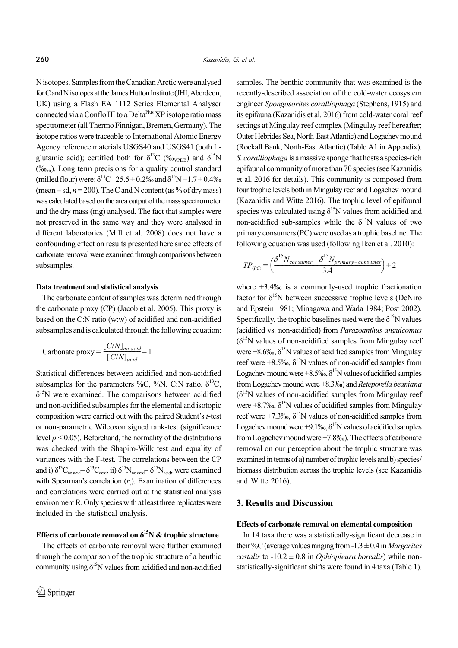N isotopes. Samples from the Canadian Arctic were analysed for C and N isotopes at the James Hutton Institute (JHI, Aberdeen, UK) using a Flash EA 1112 Series Elemental Analyser connected via a Conflo III to a Delta<sup>Plus</sup> XP isotope ratio mass spectrometer (all Thermo Finnigan, Bremen, Germany). The isotope ratios were traceable to International Atomic Energy Agency reference materials USGS40 and USGS41 (both Lglutamic acid); certified both for  $\delta^{13}C$  (‰<sub>VPDB</sub>) and  $\delta^{15}N$ (‰<sub>air</sub>). Long term precisions for a quality control standard (milled flour) were:  $\delta^{13}C - 25.5 \pm 0.2\%$  and  $\delta^{15}N + 1.7 \pm 0.4\%$ (mean  $\pm$  sd,  $n = 200$ ). The C and N content (as % of dry mass) was calculated based on the area output of the mass spectrometer and the dry mass (mg) analysed. The fact that samples were not preserved in the same way and they were analysed in different laboratories (Mill et al. 2008) does not have a confounding effect on results presented here since effects of carbonate removal were examined through comparisons between subsamples.

### **Data treatment and statistical analysis**

The carbonate content of samples was determined through the carbonate proxy (CP) (Jacob et al. 2005). This proxy is based on the C:N ratio (w:w) of acidified and non-acidified subsamples and is calculated through the following equation:

$$
Carbonate proxy = \frac{[C/N]_{no\ acid}}{[C/N]_{acid}} - 1
$$

Statistical differences between acidified and non-acidified subsamples for the parameters %C, %N, C:N ratio,  $\delta^{13}C$ ,  $\delta^{15}$ N were examined. The comparisons between acidified and non-acidified subsamples for the elemental and isotopic composition were carried out with the paired Student's *t*-test or non-parametric Wilcoxon signed rank-test (significance level  $p < 0.05$ ). Beforehand, the normality of the distributions was checked with the Shapiro-Wilk test and equality of variances with the F-test. The correlations between the CP and i)  $\delta^{13}C_{\text{no acid}} - \delta^{13}C_{\text{acid}}$ , ii)  $\delta^{15}N_{\text{no acid}} - \delta^{15}N_{\text{acid}}$ , were examined with Spearman's correlation  $(r<sub>s</sub>)$ . Examination of differences and correlations were carried out at the statistical analysis environment R. Only species with at least three replicates were included in the statistical analysis.

# **Effects of carbonate removal on δ15N & trophic structure**

The effects of carbonate removal were further examined through the comparison of the trophic structure of a benthic community using  $\delta^{15}N$  values from acidified and non-acidified

samples. The benthic community that was examined is the recently-described association of the cold-water ecosystem engineer *Spongosorites coralliophaga* (Stephens, 1915) and its epifauna (Kazanidis et al. 2016) from cold-water coral reef settings at Mingulay reef complex (Mingulay reef hereafter; Outer Hebrides Sea, North-East Atlantic) and Logachev mound (Rockall Bank, North-East Atlantic) (Table A1 in Appendix). *S. coralliophaga* is a massive sponge that hosts a species-rich epifaunal community of more than 70 species (see Kazanidis et al. 2016 for details). This community is composed from four trophic levels both in Mingulay reef and Logachev mound (Kazanidis and Witte 2016). The trophic level of epifaunal species was calculated using  $\delta^{15}N$  values from acidified and non-acidified sub-samples while the  $\delta^{15}N$  values of two primary consumers (PC) were used as a trophic baseline. The following equation was used (following Iken et al. 2010):

$$
TP_{(PC)} = \left(\frac{\delta^{15} N_{consumer} - \delta^{15} N_{primary-consumer}}{3.4}\right) + 2
$$

where +3.4‰ is a commonly-used trophic fractionation factor for  $\delta^{15}N$  between successive trophic levels (DeNiro and Epstein 1981; Minagawa and Wada 1984; Post 2002). Specifically, the trophic baselines used were the  $\delta^{15}N$  values (acidified vs. non-acidified) from *Parazoanthus anguicomus*  $(\delta^{15}N)$  values of non-acidified samples from Mingulay reef were  $+8.6\%$ ,  $\delta^{15}$ N values of acidified samples from Mingulay reef were  $+8.5\%$ ,  $\delta^{15}$ N values of non-acidified samples from Logachev mound were  $+8.5\%$ ,  $\delta^{15}$ N values of acidified samples from Logachev mound were +8.3‰) and *Reteporella beaniana*  $(\delta^{15}N)$  values of non-acidified samples from Mingulay reef were  $+8.7\%$ ,  $\delta^{15}N$  values of acidified samples from Mingulay reef were +7.3‰,  $\delta^{15}N$  values of non-acidified samples from Logachev mound were +9.1‰,  $\delta^{15}$ N values of acidified samples from Logachev mound were +7.8‰). The effects of carbonate removal on our perception about the trophic structure was examined in terms of a) number of trophic levels and b) species/ biomass distribution across the trophic levels (see Kazanidis and Witte 2016).

# **3. Results and Discussion**

#### **Effects of carbonate removal on elemental composition**

In 14 taxa there was a statistically-significant decrease in their %C (average values ranging from -1.3 ± 0.4 in *Margarites costalis* to  $-10.2 \pm 0.8$  in *Ophiopleura borealis*) while nonstatistically-significant shifts were found in 4 taxa (Table 1).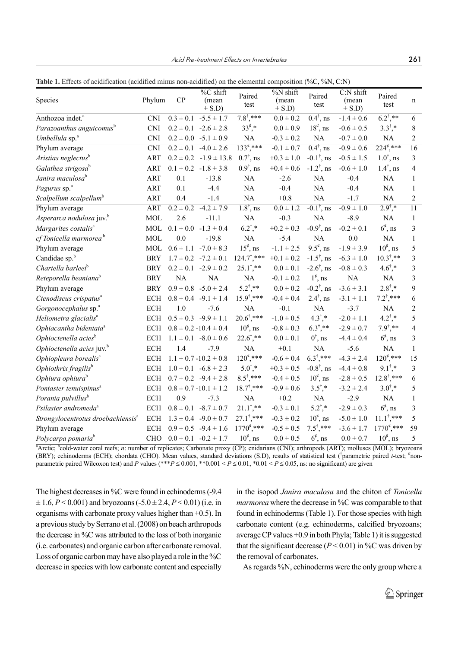**Table 1.** Effects of acidification (acidified minus non-acidified) on the elemental composition (%C, %N, C:N)

|                                                |                      |               | %C shift                     |                                 | %N shift            |                                 | $C:N$ shift         |                       |                         |
|------------------------------------------------|----------------------|---------------|------------------------------|---------------------------------|---------------------|---------------------------------|---------------------|-----------------------|-------------------------|
| Species                                        | Phylum               | CP            | (mean<br>$\pm$ S.D)          | Paired<br>test                  | (mean<br>$\pm$ S.D) | Paired<br>test                  | (mean<br>$\pm$ S.D) | Paired<br>test        | n                       |
| Anthozoa indet. <sup>a</sup>                   | <b>CNI</b>           | $0.3 \pm 0.1$ | $-5.5 \pm 1.7$               | $7.8^{\dagger}$ ,***            | $0.0 \pm 0.2$       | $0.4^{\dagger}$ , ns            | $-1.4 \pm 0.6$      | $6.2^{\dagger}$ ,**   | 6                       |
| Parazoanthus anguicomus <sup>b</sup>           | <b>CNI</b>           |               | $0.2 \pm 0.1 -2.6 \pm 2.8$   | $33^{\sharp,*}$                 | $0.0 \pm 0.9$       | $18^{\sharp}$ , ns              | $-0.6 \pm 0.5$      | $3.3^{\dagger}$ ,*    | $8\,$                   |
| Umbellula sp. <sup>a</sup>                     | <b>CNI</b>           |               | $0.2 \pm 0.0$ -5.1 $\pm 0.9$ | NA                              | $-0.3\pm0.2$        | NA                              | $-0.7 \pm 0.0$      | NA                    | $\overline{2}$          |
| Phylum average                                 | <b>CNI</b>           | $0.2 \pm 0.1$ | $-4.0 \pm 2.6$               | $133^{\ddagger}$ ,***           | $-0.1 \pm 0.7$      | $\overline{0.4}^{\dagger}$ , ns | $-0.9 \pm 0.6$      | $224^{\sharp}, **$    | $\overline{16}$         |
| Aristias neglectus <sup>b</sup>                | <b>ART</b>           | $0.2 \pm 0.2$ | $-1.9 \pm 13.8$              | $\overline{0.7}^{\dagger}$ , ns | $+0.3 \pm 1.0$      | $-0.1^{\dagger}$ , ns           | $-0.5 \pm 1.5$      | $1.0^{\dagger}$ , ns  | $\overline{\mathbf{3}}$ |
| Galathea strigosa <sup>b</sup>                 | <b>ART</b>           |               | $0.1 \pm 0.2$ -1.8 $\pm 3.8$ | $0.9^{\dagger}$ , ns            | $+0.4 \pm 0.6$      | $-1.2^{\dagger}$ , ns           | $-0.6 \pm 1.0$      | $1.4^{\dagger}$ , ns  | $\overline{4}$          |
| Janira maculosa <sup>b</sup>                   | <b>ART</b>           | 0.1           | $-13.8$                      | $\rm NA$                        | $-2.6$              | <b>NA</b>                       | $-0.4$              | NA                    | $\mathbf{1}$            |
| Pagurus sp. <sup>a</sup>                       | <b>ART</b>           | 0.1           | $-4.4$                       | NA                              | $-0.4$              | NA                              | $-0.4$              | $\rm NA$              | $\mathbf{1}$            |
| Scalpellum scalpellum <sup>b</sup>             | <b>ART</b>           | 0.4           | $-1.4$                       | NA                              | $+0.8$              | NA                              | $-1.7$              | NA                    | $\boldsymbol{2}$        |
| Phylum average                                 | <b>ART</b>           | $0.2 \pm 0.2$ | $-4.2 \pm 7.9$               | $1.8^{\dagger}$ , ns            | $0.0 \pm 1.2$       | $-0.1^{\dagger}$ , ns           | $-0.9 \pm 1.0$      | $2.9^{\dagger}$ .*    | $\overline{11}$         |
| Asperarca nodulosa juv. <sup>b</sup>           | <b>MOL</b>           | 2.6           | $-11.1$                      | NA                              | $-0.3$              | <b>NA</b>                       | $-8.9$              | NA                    | $\mathbf{1}$            |
| Margarites costalis <sup>a</sup>               | MOL                  | $0.1 \pm 0.0$ | $-1.3 \pm 0.4$               | $6.2^{\dagger}$ ,*              | $+0.2 \pm 0.3$      | $-0.9^{\dagger}$ , ns           | $-0.2 \pm 0.1$      | $6^{\sharp}$ , ns     | $\mathfrak{Z}$          |
| cf Tonicella marmorea <sup>b</sup>             | <b>MOL</b>           | 0.0           | $-19.8$                      | $\rm NA$                        | $-5.4$              | NA                              | 0.0                 | $\rm NA$              | $\mathbf{1}$            |
| Phylum average                                 | MOL                  | $0.6 \pm 1.1$ | $-7.0 \pm 8.3$               | $15^{\sharp}$ , ns              | $-1.1 \pm 2.5$      | $9.5^{\sharp}$ , ns             | $-1.9 \pm 3.9$      | $10^{\sharp}$ , ns    | 5                       |
| Candidae sp. <sup>b</sup>                      | <b>BRY</b>           |               | $1.7 \pm 0.2$ -7.2 $\pm 0.1$ | $124.7^{\dagger}$ ,***          | $+0.1 \pm 0.2$      | $-1.5^{\dagger}$ , ns           | $-6.3 \pm 1.0$      | $10.3^{\dagger}$ ,**  | $\overline{\mathbf{3}}$ |
| Chartella barleei <sup>b</sup>                 | <b>BRY</b>           | $0.2 \pm 0.1$ | $-2.9 \pm 0.2$               | $25.1^{\dagger}$ ,**            | $0.0 \pm 0.1$       | $-2.6^{\dagger}$ , ns           | $-0.8 \pm 0.3$      | $4.6^{\dagger}$ ,*    | $\overline{3}$          |
| Reteporella beaniana <sup>b</sup>              | <b>BRY</b>           | NA            | NA                           | NA                              | $-0.1 \pm 0.2$      | $1^{\sharp}$ , ns               | NA                  | NA                    | 3                       |
| Phylum average                                 | <b>BRY</b>           | $0.9 \pm 0.8$ | $-5.0 \pm 2.4$               | $5.2^{\dagger}$ ,**             | $0.0 \pm 0.2$       | $-0.2^{\dagger}$ , ns           | $-3.6 \pm 3.1$      | $2.8^{\dagger}$       | $\overline{9}$          |
| Ctenodiscus crispatus <sup>a</sup>             | $\operatorname{ECH}$ | $0.8 \pm 0.4$ | $-9.1 \pm 1.4$               | $15.9^{\dagger}$ ,***           | $-0.4 \pm 0.4$      | $2.4^{\dagger}$ , ns            | $-3.1 \pm 1.1$      | $7.2^{\dagger}$ ***   | $\overline{6}$          |
| Gorgonocephalus sp. <sup>a</sup>               | ECH                  | 1.0           | $-7.6$                       | NA                              | $-0.1$              | NA                              | $-3.7$              | NA                    | $\overline{2}$          |
| Heliometra glacialis <sup>a</sup>              | ECH                  |               | $0.5 \pm 0.3$ -9.9 $\pm$ 1.1 | $20.6^{\dagger}$ ,***           | $-1.0 \pm 0.5$      | $4.3^{\dagger}$ ,*              | $-2.0 \pm 1.1$      | $4.2^{\dagger}$ .*    | 5                       |
| Ophiacantha bidentata <sup>a</sup>             | <b>ECH</b>           |               | $0.8 \pm 0.2 - 10.4 \pm 0.4$ | $10^{\sharp}$ , ns              | $-0.8 \pm 0.3$      | $6.3^{\dagger}$ ,**             | $-2.9 \pm 0.7$      | $7.9^{\dagger}$ ,**   | $\overline{4}$          |
| Ophioctenella acies <sup>b</sup>               | <b>ECH</b>           |               | $1.1 \pm 0.1 - 8.0 \pm 0.6$  | $22.6^{\dagger}$ ,**            | $0.0 \pm 0.1$       | $0^{\dagger}$ , ns              | $-4.4 \pm 0.4$      | $6^{\sharp}$ , ns     | 3                       |
| Ophioctenella acies juv. <sup>b</sup>          | <b>ECH</b>           | 1.4           | $-7.9$                       | <b>NA</b>                       | $+0.1$              | $\rm NA$                        | $-5.6$              | $\rm NA$              | $\mathbf{1}$            |
| Ophiopleura borealis <sup>a</sup>              | <b>ECH</b>           |               | $1.1 \pm 0.7 - 10.2 \pm 0.8$ | $120^{\ddagger}$ ,***           | $-0.6 \pm 0.4$      | $6.3^{\dagger}$ ,***            | $-4.3 \pm 2.4$      | $120^{\ddagger}$ ,*** | 15                      |
| Ophiothrix fragilis <sup>b</sup>               | <b>ECH</b>           |               | $1.0 \pm 0.1 -6.8 \pm 2.3$   | $5.0^{\dagger}$ ,*              | $+0.3 \pm 0.5$      | $-0.8^{\dagger}$ , ns           | $-4.4 \pm 0.8$      | $9.1^{\dagger}$       | $\overline{3}$          |
| Ophiura ophiura <sup>b</sup>                   | <b>ECH</b>           |               | $0.7 \pm 0.2$ -9.4 $\pm 2.8$ | $8.5^{\dagger}$ ,***            | $-0.4 \pm 0.5$      | $10^{\sharp}$ , ns              | $-2.8 \pm 0.5$      | $12.8^{\dagger}$ ,*** | 6                       |
| Pontaster tenuispinus <sup>a</sup>             | <b>ECH</b>           |               | $0.8 \pm 0.7 - 10.1 \pm 1.2$ | $18.7^{\dagger}$ ,***           | $-0.9 \pm 0.6$      | $3.5^{\dagger}$ ,*              | $-3.2 \pm 2.4$      | $3.0^{\dagger}$ ,*    | 5                       |
| Porania pulvillus <sup>b</sup>                 | <b>ECH</b>           | 0.9           | $-7.3$                       | $\rm NA$                        | $+0.2$              | NA                              | $-2.9$              | NA                    | $\mathbf{1}$            |
| Psilaster andromeda <sup>a</sup>               | ECH                  | $0.8 \pm 0.1$ | $-8.7 \pm 0.7$               | $21.1^{\dagger}$ ,**            | $-0.3 \pm 0.1$      | $5.2^{\dagger}$ ,*              | $-2.9 \pm 0.3$      | $6^{\sharp}$ , ns     | $\overline{3}$          |
| Strongylocentrotus droebachiensis <sup>a</sup> | <b>ECH</b>           |               | $1.3 \pm 0.4$ -9.0 $\pm$ 0.7 | $27.1^{\dagger},***$            | $-0.3 \pm 0.2$      | $10^{\sharp}$ , ns              | $-5.0 \pm 1.0$      | $11.1^{\dagger}$ ,*** | 5                       |
| Phylum average                                 | ECH                  | $0.9 \pm 0.5$ | $-9.4 \pm 1.6$               | $1770^{\sharp},$ ***            | $-0.5 \pm 0.5$      | $7.5^{\dagger}$ ,***            | $-3.6 \pm 1.7$      | $1770^{\text{*}}$ *** | 59                      |
| Polycarpa pomaria <sup>b</sup>                 | <b>CHO</b>           |               | $0.0 \pm 0.1 -0.2 \pm 1.7$   | $10^{\sharp}$ , ns              | $0.0 \pm 0.5$       | $6^{\sharp}$ , ns               | $0.0 \pm 0.7$       | $10^{\sharp}$ , ns    | 5                       |

<sup>a</sup>Arctic; <sup>b</sup>cold-water coral reefs; *n*: number of replicates; Carbonate proxy (CP); cnidarians (CNI); arthropods (ART); molluscs (MOL); bryozoans (BRY); echinoderms (ECH); chordata (CHO). Mean values, standard deviations (S.D), results of statistical test (<sup>†</sup>parametric paired t-test; <sup>#</sup>nonparametric paired Wilcoxon test) and *P* values (\*\*\**P*  $\leq$  0.001, \*\*0.001 < *P*  $\leq$  0.01, \*0.01 < *P*  $\leq$  0.05, ns: no significant) are given

The highest decreases in %C were found in echinoderms (-9.4)  $\pm 1.6, P < 0.001$ ) and bryozoans (-5.0  $\pm 2.4, P < 0.01$ ) (i.e. in organisms with carbonate proxy values higher than +0.5). In a previous study by Serrano et al. (2008) on beach arthropods the decrease in %C was attributed to the loss of both inorganic (i.e. carbonates) and organic carbon after carbonate removal. Loss of organic carbon may have also played a role in the %C decrease in species with low carbonate content and especially

in the isopod *Janira maculosa* and the chiton cf *Tonicella marmorea* where the decrease in %C was comparable to that found in echinoderms (Table 1). For those species with high carbonate content (e.g. echinoderms, calcified bryozoans; average CP values +0.9 in both Phyla; Table 1) it is suggested that the significant decrease  $(P < 0.01)$  in %C was driven by the removal of carbonates.

As regards %N, echinoderms were the only group where a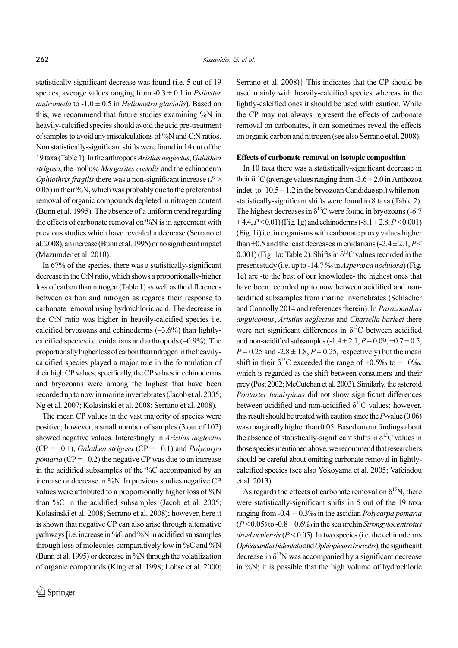statistically-significant decrease was found (i.e. 5 out of 19 species, average values ranging from -0.3 ± 0.1 in *Psilaster andromeda* to  $-1.0 \pm 0.5$  in *Heliometra glacialis*). Based on this, we recommend that future studies examining %N in heavily-calcified species should avoid the acid pre-treatment of samples to avoid any miscalculations of %N and C:N ratios. Non statistically-significant shifts were found in 14 out of the 19 taxa (Table 1). In the arthropods *Aristias neglectus*, *Galathea strigosa*, the mollusc *Margarites costalis* and the echinoderm *Ophiothrix fragilis*there was a non-significant increase (*P* > 0.05) in their %N, which was probably due to the preferential removal of organic compounds depleted in nitrogen content (Bunn et al. 1995). The absence of a uniform trend regarding the effects of carbonate removal on %N is in agreement with previous studies which have revealed a decrease (Serrano et al. 2008), an increase (Bunn et al. 1995) or no significant impact (Mazumder et al. 2010).

In 67% of the species, there was a statistically-significant decrease in the C:N ratio, which shows a proportionally-higher loss of carbon than nitrogen (Table 1) as well as the differences between carbon and nitrogen as regards their response to carbonate removal using hydrochloric acid. The decrease in the C:N ratio was higher in heavily-calcified species i.e. calcified bryozoans and echinoderms  $(-3.6%)$  than lightlycalcified species i.e. cnidarians and arthropods (–0.9%). The proportionally higher loss of carbon than nitrogen in the heavilycalcified species played a major role in the formulation of their high CP values; specifically, the CP values in echinoderms and bryozoans were among the highest that have been recorded up to now in marine invertebrates (Jacob et al. 2005; Ng et al. 2007; Kolasinski et al. 2008; Serrano et al. 2008).

The mean CP values in the vast majority of species were positive; however, a small number of samples (3 out of 102) showed negative values. Interestingly in *Aristias neglectus* (CP = –0.1), *Galathea strigosa* (CP = –0.1) and *Polycarpa pomaria* ( $CP = -0.2$ ) the negative CP was due to an increase in the acidified subsamples of the %C accompanied by an increase or decrease in %N. In previous studies negative CP values were attributed to a proportionally higher loss of %N than %C in the acidified subsamples (Jacob et al. 2005; Kolasinski et al. 2008; Serrano et al. 2008); however, here it is shown that negative CP can also arise through alternative pathways [i.e. increase in %C and %N in acidified subsamples through loss of molecules comparatively low in %C and %N (Bunn et al. 1995) or decrease in %N through the volatilization of organic compounds (King et al. 1998; Lohse et al. 2000;

Serrano et al. 2008)]. This indicates that the CP should be used mainly with heavily-calcified species whereas in the lightly-calcified ones it should be used with caution. While the CP may not always represent the effects of carbonate removal on carbonates, it can sometimes reveal the effects on organic carbon and nitrogen (see also Serrano et al. 2008).

#### **Effects of carbonate removal on isotopic composition**

In 10 taxa there was a statistically-significant decrease in their  $\delta^{13}$ C (average values ranging from -3.6  $\pm$  2.0 in Anthozoa indet. to  $-10.5 \pm 1.2$  in the bryozoan Candidae sp.) while nonstatistically-significant shifts were found in 8 taxa (Table 2). The highest decreases in  $\delta^{13}$ C were found in bryozoans (-6.7)  $\pm$ 4.4, *P* < 0.01) (Fig. 1g) and echinoderms (-8.1  $\pm$  2.8, *P* < 0.001) (Fig. 1i) i.e. in organisms with carbonate proxy values higher than  $+0.5$  and the least decreases in cnidarians  $(-2.4 \pm 2.1, P \le$ 0.001) (Fig. 1a; Table 2). Shifts in  $\delta^{13}$ C values recorded in the present study (i.e. up to -14.7 ‰ in *Asperarca nodulosa*) (Fig. 1e) are -to the best of our knowledge- the highest ones that have been recorded up to now between acidified and nonacidified subsamples from marine invertebrates (Schlacher and Connolly 2014 and references therein). In *Parazoanthus anguicomus*, *Aristias neglectus* and *Chartella barleei* there were not significant differences in  $\delta^{13}$ C between acidified and non-acidified subsamples  $(-1.4 \pm 2.1, P = 0.09, +0.7 \pm 0.5,$  $P = 0.25$  and  $-2.8 \pm 1.8$ ,  $P = 0.25$ , respectively) but the mean shift in their  $\delta^{13}$ C exceeded the range of +0.5‰ to +1.0‰, which is regarded as the shift between consumers and their prey (Post 2002; McCutchan et al. 2003). Similarly, the asteroid *Pontaster tenuispinus* did not show significant differences between acidified and non-acidified  $\delta^{13}$ C values; however, this result should be treated with caution since the *P*-value (0.06) was marginally higher than 0.05. Based on our findings about the absence of statistically-significant shifts in  $\delta^{13}$ C values in those species mentioned above, we recommend that researchers should be careful about omitting carbonate removal in lightlycalcified species (see also Yokoyama et al. 2005; Vafeiadou et al. 2013).

As regards the effects of carbonate removal on  $\delta^{15}N$ , there were statistically-significant shifts in 5 out of the 19 taxa ranging from -0.4 ± 0.3‰ in the ascidian *Polycarpa pomaria* (*P* < 0.05) to -0.8 ± 0.6‰ in the sea urchin *Strongylocentrotus droebachiensis* ( $P < 0.05$ ). In two species (i.e. the echinoderms *Ophiacanthabidentata* and *Ophiopleuraborealis*), the significant decrease in  $\delta^{15}N$  was accompanied by a significant decrease in %N; it is possible that the high volume of hydrochloric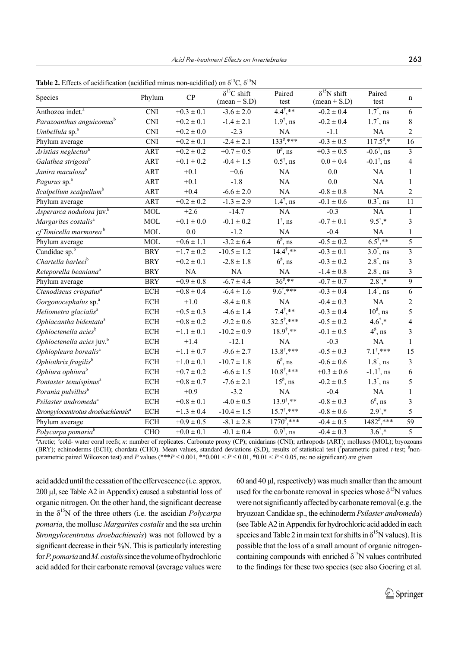| <b>Table 2.</b> Effects of acidification (acidified minus non-acidified) on $\delta^{13}C$ , $\delta^{15}N$ |              |
|-------------------------------------------------------------------------------------------------------------|--------------|
| $\epsilon$ B $\alpha$ -tri $\alpha$                                                                         | $\mathbf{D}$ |

|                                                |                         |                | $\delta^{13}$ C shift   | Paired                | $\delta^{15}$ N shift   | Paired                          |                         |
|------------------------------------------------|-------------------------|----------------|-------------------------|-----------------------|-------------------------|---------------------------------|-------------------------|
| Species                                        | Phylum                  | CP             | $(\text{mean} \pm S.D)$ | test                  | $(\text{mean} \pm S.D)$ | test                            | $\mathbf n$             |
| Anthozoa indet. <sup>a</sup>                   | $\overline{\text{CNI}}$ | $+0.3 \pm 0.1$ | $-3.6 \pm 2.0$          | $4.4^{*}$             | $-0.2 \pm 0.4$          | $\overline{1.7}^{\dagger}$ , ns | 6                       |
| Parazoanthus anguicomus <sup>b</sup>           | <b>CNI</b>              | $+0.2 \pm 0.1$ | $-1.4 \pm 2.1$          | $1.9^{\dagger}$ , ns  | $-0.2 \pm 0.4$          | $1.7^{\dagger}$ , ns            | 8                       |
| Umbellula sp. <sup>a</sup>                     | <b>CNI</b>              | $+0.2 \pm 0.0$ | $-2.3$                  | NA                    | $-1.1$                  | NA                              | 2                       |
| Phylum average                                 | $\overline{\text{CNI}}$ | $+0.2 \pm 0.1$ | $-2.4 \pm 2.1$          | $133^{\sharp}$ ,***   | $-0.3 \pm 0.5$          | $117.5$ <sup>*</sup> .*         | 16                      |
| Aristias neglectus <sup>b</sup>                | ART                     | $+0.2 \pm 0.2$ | $+0.7 \pm 0.5$          | $0^{\sharp}$ , ns     | $+0.3 \pm 0.5$          | $-0.6^{\dagger}$ , ns           | $\overline{\mathbf{3}}$ |
| Galathea strigosa <sup>b</sup>                 | ART                     | $+0.1 \pm 0.2$ | $-0.4 \pm 1.5$          | $0.5^{\dagger}$ , ns  | $0.0 \pm 0.4$           | $-0.1^{\dagger}$ , ns           | 4                       |
| Janira maculosa <sup>b</sup>                   | ART                     | $+0.1$         | $+0.6$                  | NA                    | $0.0\,$                 | NA                              | 1                       |
| Pagurus sp. <sup>a</sup>                       | ART                     | $+0.1$         | $-1.8$                  | NA                    | 0.0                     | NA                              | 1                       |
| Scalpellum scalpellum <sup>b</sup>             | ART                     | $+0.4$         | $-6.6 \pm 2.0$          | NA                    | $-0.8 \pm 0.8$          | NA                              | 2                       |
| Phylum average                                 | <b>ART</b>              | $+0.2 \pm 0.2$ | $-1.3 \pm 2.9$          | $1.4^{\dagger}$ , ns  | $-0.1 \pm 0.6$          | $0.3^{\dagger}$ , ns            | $\overline{11}$         |
| Asperarca nodulosa juv. <sup>b</sup>           | <b>MOL</b>              | $+2.6$         | $-14.7$                 | $\overline{NA}$       | $-0.3$                  | NA                              | $\mathbf{1}$            |
| Margarites costalis <sup>a</sup>               | $\rm MOL$               | $+0.1 \pm 0.0$ | $-0.1 \pm 0.2$          | $1^{\dagger}$ , ns    | $-0.7 \pm 0.1$          | $9.5^{\dagger,*}$               | 3                       |
| cf Tonicella marmorea <sup>b</sup>             | $\rm MOL$               | 0.0            | $-1.2$                  | $\rm NA$              | $-0.4$                  | NA                              | $\mathbf{1}$            |
| Phylum average                                 | <b>MOL</b>              | $+0.6 \pm 1.1$ | $-3.2 \pm 6.4$          | $6^{\sharp}$ , ns     | $-0.5 \pm 0.2$          | $6.5^{\dagger}$ ,**             | 5                       |
| Candidae sp. <sup>b</sup>                      | <b>BRY</b>              | $+1.7 \pm 0.2$ | $-10.5 \pm 1.2$         | $14.4^{\dagger}$ .**  | $-0.3 \pm 0.1$          | $\overline{3.0^{\dagger}}$ , ns | $\overline{3}$          |
| Chartella barleei <sup>b</sup>                 | <b>BRY</b>              | $+0.2 \pm 0.1$ | $-2.8 \pm 1.8$          | $6^{\sharp}$ , ns     | $-0.3 \pm 0.2$          | $2.8^{\dagger}$ , ns            | 3                       |
| Reteporella beaniana <sup>b</sup>              | <b>BRY</b>              | NA             | <b>NA</b>               | NA                    | $-1.4 \pm 0.8$          | $2.8^{\dagger}$ , ns            | 3                       |
| Phylum average                                 | <b>BRY</b>              | $+0.9 \pm 0.8$ | $-6.7 \pm 4.4$          | $36^{4}$ ,**          | $-0.7 \pm 0.7$          | $2.8^{\dagger}$ ,*              | 9                       |
| Ctenodiscus crispatus <sup>a</sup>             | <b>ECH</b>              | $+0.8 \pm 0.4$ | $-6.4 \pm 1.6$          | $9.6^{\dagger}$ ,***  | $-0.3 \pm 0.4$          | $1.4^{\dagger}$ , ns            | $\sqrt{6}$              |
| Gorgonocephalus sp. <sup>a</sup>               | <b>ECH</b>              | $+1.0$         | $-8.4 \pm 0.8$          | $\rm NA$              | $-0.4 \pm 0.3$          | NA                              | $\overline{c}$          |
| Heliometra glacialis <sup>a</sup>              | <b>ECH</b>              | $+0.5 \pm 0.3$ | $-4.6 \pm 1.4$          | $7.4^{\dagger}$ ,**   | $-0.3 \pm 0.4$          | $10^{\sharp}$ , ns              | 5                       |
| Ophiacantha bidentata <sup>a</sup>             | <b>ECH</b>              | $+0.8 \pm 0.2$ | $-9.2 \pm 0.6$          | $32.5^{\dagger}$ ,*** | $-0.5 \pm 0.2$          | $4.6^{\dagger}$ ,*              | 4                       |
| Ophioctenella acies <sup>b</sup>               | $\operatorname{ECH}$    | $+1.1 \pm 0.1$ | $-10.2 \pm 0.9$         | $18.9^{\dagger}$ ,**  | $-0.1 \pm 0.5$          | $4^{\sharp}$ , ns               | 3                       |
| Ophioctenella acies juv. <sup>b</sup>          | <b>ECH</b>              | $+1.4$         | $-12.1$                 | NA                    | $-0.3$                  | NA                              | 1                       |
| Ophiopleura borealis <sup>a</sup>              | ECH                     | $+1.1 \pm 0.7$ | $-9.6 \pm 2.7$          | $13.8^{\dagger}$ ,*** | $-0.5 \pm 0.3$          | $7.1^{\dagger}$ ***             | 15                      |
| Ophiothrix fragilis <sup>b</sup>               | <b>ECH</b>              | $+1.0 \pm 0.1$ | $-10.7 \pm 1.8$         | $6^{\sharp}$ , ns     | $-0.6 \pm 0.6$          | $1.8^{\dagger}$ , ns            | 3                       |
| Ophiura ophiura <sup>b</sup>                   | <b>ECH</b>              | $+0.7 \pm 0.2$ | $-6.6 \pm 1.5$          | $10.8^{\dagger}$ ,*** | $+0.3 \pm 0.6$          | $-1.1^{\dagger}$ , ns           | 6                       |
| Pontaster tenuispinus <sup>a</sup>             | <b>ECH</b>              | $+0.8 \pm 0.7$ | $-7.6 \pm 2.1$          | $15^{\sharp}$ , ns    | $-0.2 \pm 0.5$          | $1.3^{\dagger}$ , ns            | 5                       |
| Porania pulvillus <sup>b</sup>                 | <b>ECH</b>              | $+0.9$         | $-3.2$                  | NA                    | $-0.4$                  | NA                              | 1                       |
| Psilaster andromeda <sup>a</sup>               | <b>ECH</b>              | $+0.8\pm0.1$   | $-4.0 \pm 0.5$          | $13.9^{\dagger}$ ,**  | $-0.8 \pm 0.3$          | $6^{\sharp}$ , ns               | 3                       |
| Strongylocentrotus droebachiensis <sup>a</sup> | $\operatorname{ECH}$    | $+1.3 \pm 0.4$ | $-10.4 \pm 1.5$         | $15.7^{\dagger}$ ,*** | $-0.8 \pm 0.6$          | $2.9^{\dagger}$ .*              | 5                       |
| Phylum average                                 | $\operatorname{ECH}$    | $+0.9 \pm 0.5$ | $-8.1 \pm 2.8$          | $1770^{\text{*}}$ *** | $-0.4 \pm 0.5$          | $1482^{\frac{4}{7},***}$        | $\overline{59}$         |
| Polycarpa pomaria <sup>b</sup>                 | CHO                     | $+0.0 \pm 0.1$ | $-0.1 \pm 0.4$          | $0.9^{\dagger}$ , ns  | $-0.4 \pm 0.3$          | $3.6^{\dagger}$ .*              | $\overline{5}$          |

<sup>a</sup>Arctic; <sup>b</sup>cold- water coral reefs; *n*: number of replicates. Carbonate proxy (CP); cnidarians (CNI); arthropods (ART); molluscs (MOL); bryozoans (BRY); echinoderms (ECH); chordata (CHO). Mean values, standard deviations (S.D), results of statistical test (<sup>†</sup>parametric paired t-test; <sup>#</sup>nonparametric paired Wilcoxon test) and *P* values (\*\*\* $P \le 0.001$ , \*\*0.001 <  $P \le 0.01$ , \*0.01 <  $P \le 0.05$ , ns: no significant) are given

acid added until the cessation of the effervescence (i.e. approx. 200 µl, see Table A2 in Appendix) caused a substantial loss of organic nitrogen. On the other hand, the significant decrease in the δ<sup>15</sup>Ν of the three others (i.e. the ascidian *Polycarpa pomaria*, the mollusc *Margarites costalis* and the sea urchin *Strongylocentrotus droebachiensis*) was not followed by a significant decrease in their %N. This is particularly interesting for *P*. *pomaria* and *M. costalis* since the volume of hydrochloric acid added for their carbonate removal (average values were 60 and 40 μl, respectively) was much smaller than the amount used for the carbonate removal in species whose  $\delta^{15}N$  values were not significantly affected by carbonate removal (e.g. the bryozoan Candidae sp., the echinoderm *Psilaster andromeda*) (see Table A2 in Appendix for hydrochloric acid added in each species and Table 2 in main text for shifts in  $\delta^{15}N$  values). It is possible that the loss of a small amount of organic nitrogencontaining compounds with enriched  $\delta^{15}N$  values contributed to the findings for these two species (see also Goering et al.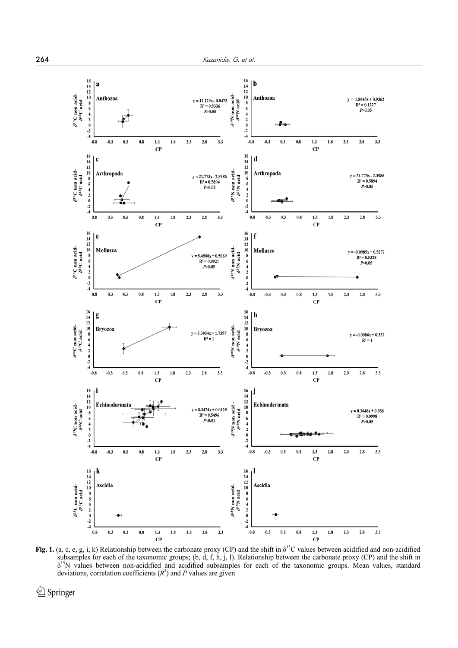

**Fig. 1.** (a, c, e, g, i, k) Relationship between the carbonate proxy (CP) and the shift in δ<sup>13</sup>C values between acidified and non-acidified subsamples for each of the taxonomic groups; (b, d, f, h, j, l). Relationship between the carbonate proxy (CP) and the shift in  $\delta^{15}$ N values between non-acidified and acidified subsamples for each of the taxonomic groups. Mean values, standard deviations, correlation coefficients  $(R^2)$  and P values are given

*<sup></sub>* Springer</sup>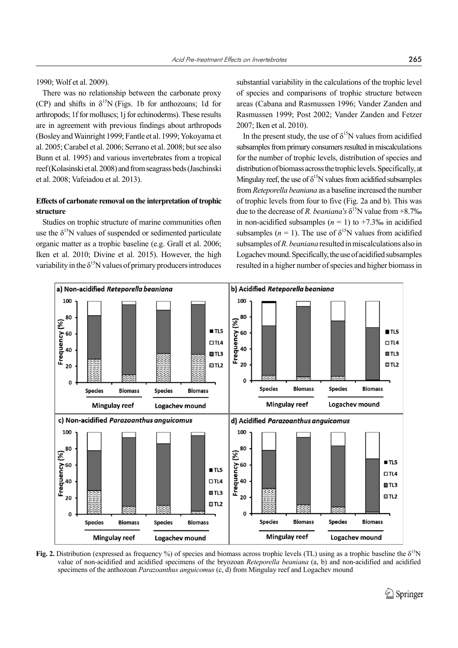1990; Wolf et al. 2009).

There was no relationship between the carbonate proxy (CP) and shifts in  $\delta^{15}N$  (Figs. 1b for anthozoans; 1d for arthropods; 1f for molluscs; 1j for echinoderms). These results are in agreement with previous findings about arthropods (Bosley and Wainright 1999; Fantle et al. 1999; Yokoyama et al. 2005; Carabel et al. 2006; Serrano et al. 2008; but see also Bunn et al. 1995) and various invertebrates from a tropical reef (Kolasinski et al. 2008) and from seagrass beds (Jaschinski et al. 2008; Vafeiadou et al. 2013).

# **Effects of carbonate removal on the interpretation of trophic structure**

Studies on trophic structure of marine communities often use the  $\delta^{15}N$  values of suspended or sedimented particulate organic matter as a trophic baseline (e.g. Grall et al. 2006; Iken et al. 2010; Divine et al. 2015). However, the high variability in the  $\delta^{15}N$  values of primary producers introduces substantial variability in the calculations of the trophic level of species and comparisons of trophic structure between areas (Cabana and Rasmussen 1996; Vander Zanden and Rasmussen 1999; Post 2002; Vander Zanden and Fetzer 2007; Iken et al. 2010).

In the present study, the use of  $\delta^{15}N$  values from acidified subsamples from primary consumers resulted in miscalculations for the number of trophic levels, distribution of species and distribution of biomass across the trophic levels. Specifically, at Mingulay reef, the use of  $\delta^{15}N$  values from acidified subsamples from *Reteporella beaniana* as a baseline increased the number of trophic levels from four to five (Fig. 2a and b). This was due to the decrease of *R. beaniana*'s  $\delta^{15}$ N value from +8.7‰ in non-acidified subsamples  $(n = 1)$  to  $+7.3\%$  in acidified subsamples ( $n = 1$ ). The use of  $\delta^{15}N$  values from acidified subsamples of *R. beaniana* resulted in miscalculations also in Logachev mound. Specifically, the use of acidified subsamples resulted in a higher number of species and higher biomass in



**Fig. 2.** Distribution (expressed as frequency %) of species and biomass across trophic levels (TL) using as a trophic baseline the δ<sup>15</sup>N value of non-acidified and acidified specimens of the bryozoan *Reteporella beaniana* (a, b) and non-acidified and acidified specimens of the anthozoan *Parazoanthus anguicomus* (c, d) from Mingulay reef and Logachev mound

 $\circled{2}$  Springer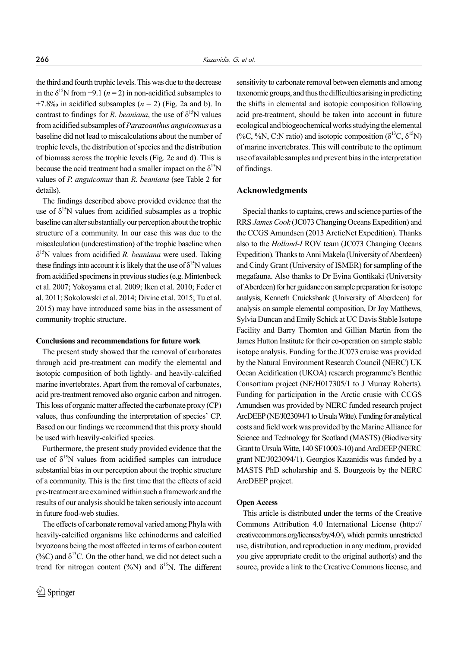the third and fourth trophic levels. This was due to the decrease in the  $\delta^{15}N$  from +9.1 (*n* = 2) in non-acidified subsamples to +7.8‰ in acidified subsamples  $(n = 2)$  (Fig. 2a and b). In contrast to findings for *R. beaniana*, the use of  $\delta^{15}N$  values from acidified subsamples of *Parazoanthus anguicomus* as a baseline did not lead to miscalculations about the number of trophic levels, the distribution of species and the distribution of biomass across the trophic levels (Fig. 2c and d). This is because the acid treatment had a smaller impact on the  $\delta^{15}N$ values of *P. anguicomus* than *R. beaniana* (see Table 2 for details).

The findings described above provided evidence that the use of  $\delta^{15}N$  values from acidified subsamples as a trophic baseline can alter substantially our perception about the trophic structure of a community. In our case this was due to the miscalculation (underestimation) of the trophic baseline when δ15N values from acidified *R. beaniana* were used. Taking these findings into account it is likely that the use of  $\delta^{15}N$  values from acidified specimens in previous studies (e.g. Mintenbeck et al. 2007; Yokoyama et al. 2009; Iken et al. 2010; Feder et al. 2011; Sokolowski et al. 2014; Divine et al. 2015; Tu et al. 2015) may have introduced some bias in the assessment of community trophic structure.

#### **Conclusions and recommendations for future work**

The present study showed that the removal of carbonates through acid pre-treatment can modify the elemental and isotopic composition of both lightly- and heavily-calcified marine invertebrates. Apart from the removal of carbonates, acid pre-treatment removed also organic carbon and nitrogen. This loss of organic matter affected the carbonate proxy (CP) values, thus confounding the interpretation of species' CP. Based on our findings we recommend that this proxy should be used with heavily-calcified species.

Furthermore, the present study provided evidence that the use of  $\delta^{15}N$  values from acidified samples can introduce substantial bias in our perception about the trophic structure of a community. This is the first time that the effects of acid pre-treatment are examined within such a framework and the results of our analysis should be taken seriously into account in future food-web studies.

The effects of carbonate removal varied among Phyla with heavily-calcified organisms like echinoderms and calcified bryozoans being the most affected in terms of carbon content (%C) and  $\delta^{13}$ C. On the other hand, we did not detect such a trend for nitrogen content (%N) and  $\delta^{15}N$ . The different

sensitivity to carbonate removal between elements and among taxonomic groups, and thus the difficulties arising in predicting the shifts in elemental and isotopic composition following acid pre-treatment, should be taken into account in future ecological and biogeochemical works studying the elemental (%C, %N, C:N ratio) and isotopic composition ( $\delta^{13}C$ ,  $\delta^{15}N$ ) of marine invertebrates. This will contribute to the optimum use of available samples and prevent bias in the interpretation of findings.

# **Acknowledgments**

Special thanks to captains, crews and science parties of the RRS *James Cook* (JC073 Changing Oceans Expedition) and the CCGS Amundsen (2013 ArcticNet Expedition). Thanks also to the *Holland-I* ROV team (JC073 Changing Oceans Expedition). Thanks to Anni Makela (University of Aberdeen) and Cindy Grant (University of ISMER) for sampling of the megafauna. Also thanks to Dr Evina Gontikaki (University of Aberdeen) for her guidance on sample preparation for isotope analysis, Kenneth Cruickshank (University of Aberdeen) for analysis on sample elemental composition, Dr Joy Matthews, Sylvia Duncan and Emily Schick at UC Davis Stable Isotope Facility and Barry Thornton and Gillian Martin from the James Hutton Institute for their co-operation on sample stable isotope analysis. Funding for the JC073 cruise was provided by the Natural Environment Research Council (NERC) UK Ocean Acidification (UKOA) research programme's Benthic Consortium project (NE/H017305/1 to J Murray Roberts). Funding for participation in the Arctic crusie with CCGS Amundsen was provided by NERC funded research project ArcDEEP (NE/J023094/1 to Ursula Witte). Funding for analytical costs and field work was provided by the Marine Alliance for Science and Technology for Scotland (MASTS) (Biodiversity Grant to Ursula Witte, 140 SF10003-10) and ArcDEEP (NERC grant NE/J023094/1). Georgios Kazanidis was funded by a MASTS PhD scholarship and S. Bourgeois by the NERC ArcDEEP project.

#### **Open Access**

This article is distributed under the terms of the Creative Commons Attribution 4.0 International License (http:// creativecommons.org/licenses/by/4.0/), which permits unrestricted use, distribution, and reproduction in any medium, provided you give appropriate credit to the original author(s) and the source, provide a link to the Creative Commons license, and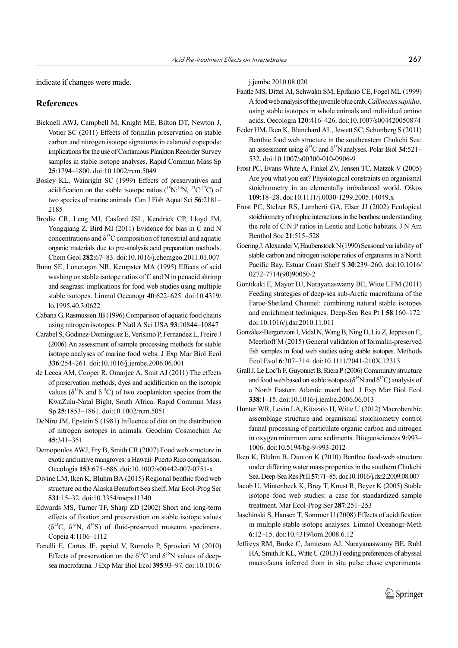indicate if changes were made.

# **References**

- Bicknell AWJ, Campbell M, Knight ME, Bilton DT, Newton J, Votier SC (2011) Effects of formalin preservation on stable carbon and nitrogen isotope signatures in calanoid copepods: implications for the use of Continuous Plankton Recorder Survey samples in stable isotope analyses. Rapid Commun Mass Sp **25**:1794–1800. doi:10.1002/rcm.5049
- Bosley KL, Wainright SC (1999) Effects of preservatives and acidification on the stable isotope ratios  $(^{15}N;^{14}N; ^{13}C;^{12}C)$  of two species of marine animals. Can J Fish Aquat Sci **56**:2181– 2185
- Brodie CR, Leng MJ, Casford JSL, Kendrick CP, Lloyd JM, Yongqiang Z, Bird MI (2011) Evidence for bias in C and N concentrations and  $\delta^{13}$ C composition of terrestrial and aquatic organic materials due to pre-analysis acid preparation methods. Chem Geol **282**:67–83. doi:10.1016/j.chemgeo.2011.01.007
- Bunn SE, Loneragan NR, Kempster MA (1995) Effects of acid washing on stable isotope ratios of C and N in penaeid shrimp and seagrass: implications for food web studies using multiple stable isotopes. Limnol Oceanogr **40**:622–625. doi:10.4319/ lo.1995.40.3.0622
- Cabana G, Rasmussen JB (1996) Comparison of aquatic food chains using nitrogen isotopes. P Natl A Sci USA **93**:10844–10847
- Carabel S, Godinez-Dominguez E, Verisimo P, Fernandez L, Freire J (2006) An assessment of sample processing methods for stable isotope analyses of marine food webs. J Exp Mar Biol Ecol **336**:254–261. doi:10.1016/j.jembe.2006.06.001
- de Lecea AM, Cooper R, Omarjee A, Smit AJ (2011) The effects of preservation methods, dyes and acidification on the isotopic values ( $\delta^{15}$ N and  $\delta^{13}$ C) of two zooplankton species from the KwaZulu-Natal Bight, South Africa. Rapid Commun Mass Sp **25**:1853–1861. doi:10.1002/rcm.5051
- DeNiro JM, Epstein S (1981) Influence of diet on the distribution of nitrogen isotopes in animals. Geochim Cosmochim Ac **45**:341–351
- Demopoulos AWJ, Fry B, Smith CR (2007) Food web structure in exotic and native mangroves: a Hawaii–Puerto Rico comparison. Oecologia **153**:675–686. doi:10.1007/s00442-007-0751-x
- Divine LM, Iken K, Bluhm BA (2015) Regional benthic food web structure on the Alaska Beaufort Sea shelf. Mar Ecol-Prog Ser **531**:15–32. doi:10.3354/meps11340
- Edwards MS, Turner TF, Sharp ZD (2002) Short and long-term effects of fixation and preservation on stable isotope values  $(\delta^{13}C, \delta^{15}N, \delta^{34}S)$  of fluid-preserved museum specimens. Copeia **4**:1106–1112
- Fanelli E, Cartes JE, papiol V, Rumolo P, Sprovieri M (2010) Effects of preservation on the  $\delta^{13}$ C and  $\delta^{15}$ N values of deepsea macrofauna. J Exp Mar Biol Ecol **395**:93–97. doi:10.1016/

j.jembe.2010.08.020

- Fantle MS, Dittel AI, Schwalm SM, Epifanio CE, Fogel ML (1999) A food web analysis of the juvenile blue crab, *Callinectes sapidus*, using stable isotopes in whole animals and individual amino acids. Oecologia **120**:416–426. doi:10.1007/s004420050874
- Feder HM, Iken K, Blanchard AL, Jewett SC, Schonberg S (2011) Benthic food web structure in the southeastern Chukchi Sea: an assessment using  $\delta^{13}$ C and  $\delta^{15}$ N analyses. Polar Biol **34**:521– 532. doi:10.1007/s00300-010-0906-9
- Frost PC, Evans-White A, Finkel ZV, Jensen TC, Matzek V (2005) Are you what you eat? Physiological constraints on organismal stoichiometry in an elementally imbalanced world. Oikos **109**:18–28. doi:10.1111/j.0030-1299.2005.14049.x
- Frost PC, Stelzer RS, Lamberti GA, Elser JJ (2002) Ecological stoichiometry of trophic interactions in the benthos: understanding the role of C:N:P ratios in Lentic and Lotic habitats. J N Am Benthol Soc **21**:515–528
- Goering J, Alexander V, Haubenstock N (1990) Seasonal variability of stable carbon and nitrogen isotope ratios of organisms in a North Pacific Bay. Estuar Coast Shelf S **30**:239–260. doi:10.1016/ 0272-7714(90)90050-2
- Gontikaki E, Mayor DJ, Narayanaswamy BE, Witte UFM (2011) Feeding strategies of deep-sea sub-Arctic macrofauna of the Faroe-Shetland Channel: combining natural stable isotopes and enrichment techniques. Deep-Sea Res Pt I **58**:160–172. doi:10.1016/j.dsr.2010.11.011
- González-Bergonzoni I, Vidal N, Wang B, Ning D, Liu Z, Jeppesen E, Meerhoff M (2015) General validation of formalin-preserved fish samples in food web studies using stable isotopes. Methods Ecol Evol **6**:307–314. doi:10.1111/2041-210X.12313
- Grall J, Le Loc'h F, Guyonnet B, Riera P (2006) Community structure and food web based on stable isotopes ( $\delta^{15}$ N and  $\delta^{13}$ C) analysis of a North Eastern Atlantic maerl bed. J Exp Mar Biol Ecol **338**:1–15. doi:10.1016/j.jembe.2006.06.013
- Hunter WR, Levin LA, Kitazato H, Witte U (2012) Macrobenthic assemblage structure and organismal stoichiometry control faunal processing of particulate organic carbon and nitrogen in oxygen minimum zone sediments. Biogeosciences **9**:993– 1006. doi:10.5194/bg-9-993-2012
- Iken K, Bluhm B, Dunton K (2010) Benthic food-web structure under differing water mass properties in the southern Chukchi Sea. Deep-Sea Res Pt II **57**:71–85. doi:10.1016/j.dsr2.2009.08.007
- Jacob U, Mintenbeck K, Brey T, Knust R, Beyer K (2005) Stable isotope food web studies: a case for standardized sample treatment. Mar Ecol-Prog Ser **287**:251–253
- Jaschinski S, Hansen T, Sommer U (2008) Effects of acidification in multiple stable isotope analyses. Limnol Oceanogr-Meth **6**:12–15. doi:10.4319/lom.2008.6.12
- Jeffreys RM, Burke C, Jamieson AJ, Narayanaswamy BE, Ruhl HA, Smith Jr KL, Witte U (2013) Feeding preferences of abyssal macrofauna inferred from in situ pulse chase experiments.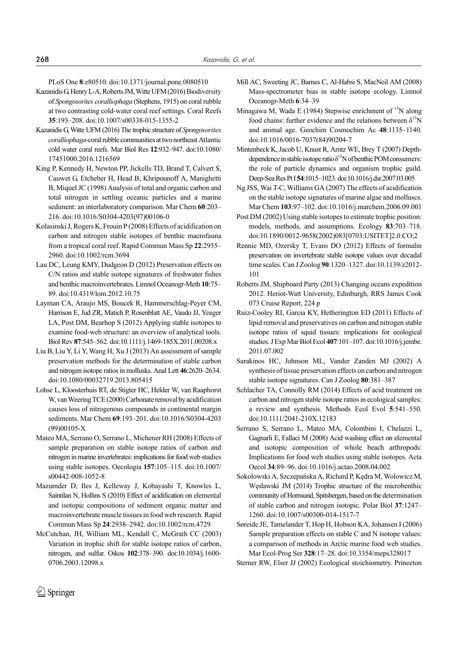PLoS One **8**:e80510. doi:10.1371/journal.pone.0080510

- Kazanidis G, Henry L-A, Roberts JM, Witte UFM (2016) Biodiversity of *Spongosorites coralliophaga* (Stephens, 1915) on coral rubble at two contrasting cold-water coral reef settings. Coral Reefs **35**:193–208. doi:10.1007/s00338-015-1355-2
- Kazanidis G, Witte UFM (2016) The trophic structure of *Spongosorites coralliophaga*-coral rubble communities at two northeast Atlantic cold water coral reefs. Mar Biol Res **12**:932–947. doi:10.1080/ 17451000.2016.1216569
- King P, Kennedy H, Newton PP, Jickells TD, Brand T, Calvert S, Cauwet G, Etcheber H, Head B, Khripounoff A, Manighetti B, Miquel JC (1998) Analysis of total and organic carbon and total nitrogen in settling oceanic particles and a marine sediment: an interlaboratory comparison. Mar Chem **60**:203– 216. doi:10.1016/S0304-4203(97)00106-0
- Kolasinski J, Rogers K, Frouin P (2008) Effects of acidification on carbon and nitrogen stable isotopes of benthic macrofauna from a tropical coral reef. Rapid Commun Mass Sp **22**:2955– 2960. doi:10.1002/rcm.3694
- Lau DC, Leung KMY, Dudgeon D (2012) Preservation effects on C/N ratios and stable isotope signatures of freshwater fishes and benthic macroinvertebrates. Limnol Oceanogr-Meth **10**:75– 89. doi:10.4319/lom.2012.10.75
- Layman CA, Araujo MS, Boucek R, Hammerschlag-Peyer CM, Harrison E, Jud ZR, Matich P, Rosenblatt AE, Vaudo JJ, Yeager LA, Post DM, Bearhop S (2012) Applying stable isotopes to examine food-web structure: an overview of analytical tools. Biol Rev **87**:545–562. doi:10.1111/j.1469-185X.2011.00208.x
- Liu B, Liu Y, Li Y, Wang H, Xu J (2013) An assessment of sample preservation methods for the determination of stable carbon and nitrogen isotope ratios in mollusks. Anal Lett **46**:2620–2634. doi:10.1080/00032719.2013.805415
- Lohse L, Kloosterhuis RT, de Stigter HC, Helder W, van Raaphorst W, van Weering TCE (2000) Carbonate removal by acidification causes loss of nitrogenous compounds in continental margin sediments. Mar Chem **69**:193–201. doi:10.1016/S0304-4203 (99)00105-X
- Mateo MA, Serrano Ο, Serrano L, Michener RH (2008) Effects of sample preparation on stable isotope ratios of carbon and nitrogen in marine invertebrates: implications for food web studies using stable isotopes. Oecologia **157**:105–115. doi:10.1007/ s00442-008-1052-8
- Mazumder D, Iles J, Kelleway J, Kobayashi T, Knowles L, Saintilan N, Hollins S (2010) Effect of acidification on elemental and isotopic compositions of sediment organic matter and macroinvertebrate muscle tissues in food web research. Rapid Commun Mass Sp **24**:2938–2942. doi:10.1002/rcm.4729
- McCutchan, JH, William ML, Kendall C, McGrath CC (2003) Variation in trophic shift for stable isotope ratios of carbon, nitrogen, and sulfur. Oikos **102**:378–390. doi:10.1034/j.1600- 0706.2003.12098.x
- Mill AC, Sweeting JC, Barnes C, Al-Habsi S, MacNeil AM (2008) Mass-spectrometer bias in stable isotope ecology. Limnol Oceanogr-Meth **6**:34–39
- Minagawa M, Wada E (1984) Stepwise enrichment of  $^{15}N$  along food chains: further evidence and the relations between  $\delta^{15}N$ and animal age. Geochim Cosmochim Ac **48**:1135–1140. doi:10.1016/0016-7037(84)90204-7
- Mintenbeck K, Jacob U, Knust R, Arntz WE, Brey T (2007) Depthdependence in stable isotope ratio  $\delta^{15}N$  of benthic POM consumers: the role of particle dynamics and organism trophic guild. Deep-Sea Res Pt I **54**:1015–1023. doi:10.1016/j.dsr.2007.03.005
- Ng JSS, Wai T-C, Williams GA (2007) The effects of acidification on the stable isotope signatures of marine algae and molluscs. Mar Chem **103**:97–102. doi:10.1016/j.marchem.2006.09.001
- Post DM (2002) Using stable isotopes to estimate trophic position: models, methods, and assumptions. Ecology **83**:703–718. doi:10.1890/0012-9658(2002)083[0703:USITET]2.0.CO;2
- Rennie MD, Ozersky T, Evans DO (2012) Effects of formalin preservation on invertebrate stable isotope values over decadal time scales. Can J Zoolog **90**:1320–1327. doi:10.1139/z2012- 101
- Roberts JM, Shipboard Party (2013) Changing oceans expedition 2012. Heriot-Watt University, Edinburgh, RRS James Cook 073 Cruise Report, 224 p
- Ruiz-Cooley RI, Garcia KY, Hetherington ED (2011) Effects of lipid removal and preservatives on carbon and nitrogen stable isotope ratios of squid tissues: implications for ecological studies. J Exp Mar Biol Ecol **407**:101–107. doi:10.1016/j.jembe. 2011.07.002
- Sarakinos HC, Johnson ML, Vander Zanden MJ (2002) A synthesis of tissue preservation effects on carbon and nitrogen stable isotope signatures. Can J Zoolog **80**:381–387
- Schlacher TA, Connolly RM (2014) Effects of acid treatment on carbon and nitrogen stable isotope ratios in ecological samples: a review and synthesis. Methods Ecol Evol **5**:541–550. doi:10.1111/2041-210X.12183
- Serrano S, Serrano L, Mateo MA, Colombini I, Chelazzi L, Gagnarli E, Fallaci Μ (2008) Acid washing effect on elemental and isotopic composition of whole beach arthropods: Implications for food web studies using stable isotopes. Acta Oecol **34**:89–96. doi:10.1016/j.actao.2008.04.002
- Sokolowski A, Szczepańska A, Richard P, Kędra M, Wolowicz M, Węslawski JM (2014) Trophic structure of the microbenthic community of Hornsund, Spitsbergen, based on the determination of stable carbon and nitrogen isotopic. Polar Biol **37**:1247– 1260. doi:10.1007/s00300-014-1517-7
- Søreide JE, Tamelander T, Hop H, Hobson KA, Johansen I (2006) Sample preparation effects on stable C and N isotope values: a comparison of methods in Arctic marine food web studies. Mar Ecol-Prog Ser **328**:17–28. doi:10.3354/meps328017
- Sterner RW, Elser JJ (2002) Ecological stoichiometry. Princeton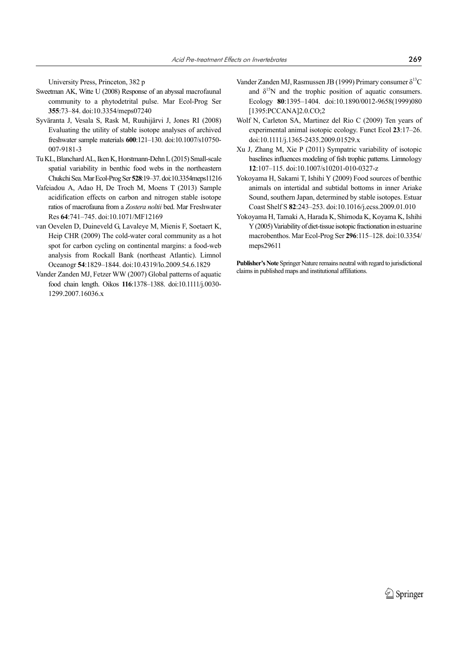University Press, Princeton, 382 p

- Sweetman AK, Witte U (2008) Response of an abyssal macrofaunal community to a phytodetrital pulse. Mar Ecol-Prog Ser **355**:73–84. doi:10.3354/meps07240
- Syväranta J, Vesala S, Rask M, Ruuhijärvi J, Jones RI (2008) Evaluating the utility of stable isotope analyses of archived freshwater sample materials **600**:121–130. doi:10.1007/s10750- 007-9181-3
- Tu KL, Blanchard AL, Iken K, Horstmann-Dehn L (2015) Small-scale spatial variability in benthic food webs in the northeastern Chukchi Sea. Mar Ecol-Prog Ser **528**:19–37. doi:10.3354meps11216
- Vafeiadou A, Adao H, De Troch M, Moens T (2013) Sample acidification effects on carbon and nitrogen stable isotope ratios of macrofauna from a *Zostera noltii* bed. Mar Freshwater Res **64**:741–745. doi:10.1071/MF12169
- van Oevelen D, Duineveld G, Lavaleye M, Mienis F, Soetaert K, Heip CHR (2009) The cold-water coral community as a hot spot for carbon cycling on continental margins: a food-web analysis from Rockall Bank (northeast Atlantic). Limnol Oceanogr **54**:1829–1844. doi:10.4319/lo.2009.54.6.1829
- Vander Zanden MJ, Fetzer WW (2007) Global patterns of aquatic food chain length. Oikos **116**:1378–1388. doi:10.1111/j.0030- 1299.2007.16036.x
- Vander Zanden MJ, Rasmussen JB (1999) Primary consumer  $\delta^{13}C$ and  $\delta^{15}$ N and the trophic position of aquatic consumers. Ecology **80**:1395–1404. doi:10.1890/0012-9658(1999)080 [1395:PCCANA]2.0.CO;2
- Wolf N, Carleton SA, Martinez del Rio C (2009) Ten years of experimental animal isotopic ecology. Funct Ecol **23**:17–26. doi:10.1111/j.1365-2435.2009.01529.x
- Xu J, Zhang M, Xie P (2011) Sympatric variability of isotopic baselines influences modeling of fish trophic patterns. Limnology **12**:107–115. doi:10.1007/s10201-010-0327-z
- Yokoyama H, Sakami T, Ishihi Y (2009) Food sources of benthic animals on intertidal and subtidal bottoms in inner Ariake Sound, southern Japan, determined by stable isotopes. Estuar Coast Shelf S **82**:243–253. doi:10.1016/j.ecss.2009.01.010
- Yokoyama H, Tamaki A, Harada K, Shimoda K, Koyama K, Ishihi Y (2005) Variability of diet-tissue isotopic fractionation in estuarine macrobenthos. Mar Ecol-Prog Ser **296**:115–128. doi:10.3354/ meps29611

**Publisher's Note** Springer Nature remains neutral with regard to jurisdictional claims in published maps and institutional affiliations.